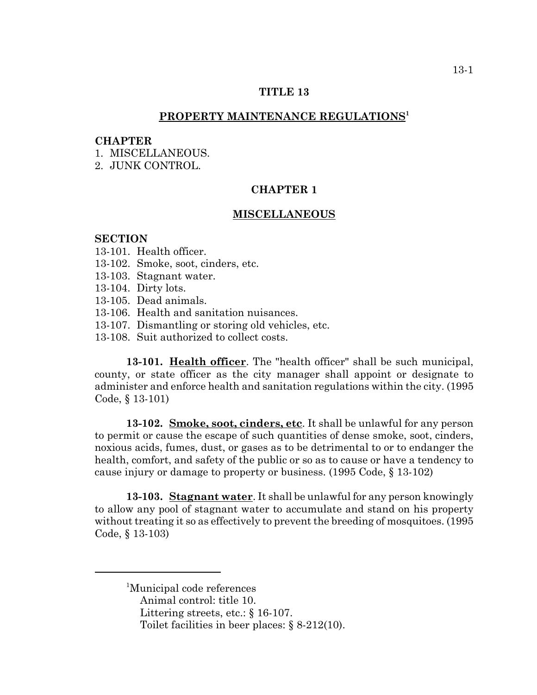# **TITLE 13**

# **PROPERTY MAINTENANCE REGULATIONS1**

#### **CHAPTER**

1 MISCELLANEOUS

2. JUNK CONTROL.

# **CHAPTER 1**

### **MISCELLANEOUS**

#### **SECTION**

- 13-101. Health officer.
- 13-102. Smoke, soot, cinders, etc.
- 13-103. Stagnant water.
- 13-104. Dirty lots.
- 13-105. Dead animals.
- 13-106. Health and sanitation nuisances.
- 13-107. Dismantling or storing old vehicles, etc.
- 13-108. Suit authorized to collect costs.

**13-101. Health officer**. The "health officer" shall be such municipal, county, or state officer as the city manager shall appoint or designate to administer and enforce health and sanitation regulations within the city. (1995 Code, § 13-101)

**13-102. Smoke, soot, cinders, etc**. It shall be unlawful for any person to permit or cause the escape of such quantities of dense smoke, soot, cinders, noxious acids, fumes, dust, or gases as to be detrimental to or to endanger the health, comfort, and safety of the public or so as to cause or have a tendency to cause injury or damage to property or business. (1995 Code, § 13-102)

**13-103. Stagnant water**. It shall be unlawful for any person knowingly to allow any pool of stagnant water to accumulate and stand on his property without treating it so as effectively to prevent the breeding of mosquitoes. (1995 Code, § 13-103)

<sup>1</sup>Municipal code references Animal control: title 10.

- Littering streets, etc.: § 16-107.
- Toilet facilities in beer places: § 8-212(10).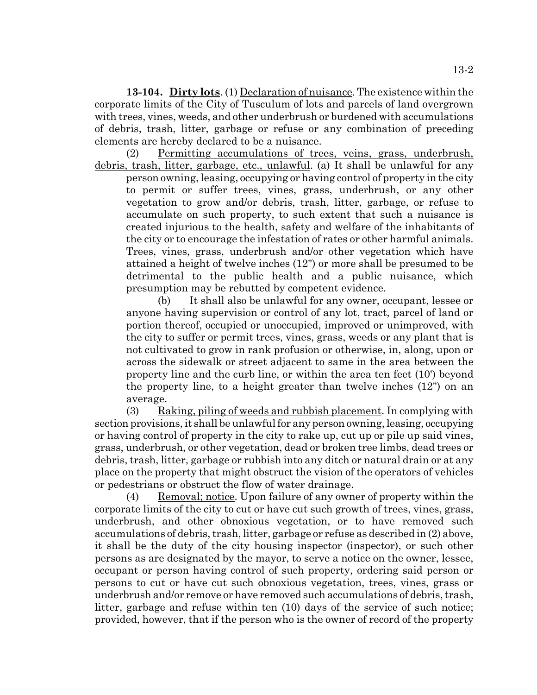**13-104. Dirty lots**. (1) Declaration of nuisance. The existence within the corporate limits of the City of Tusculum of lots and parcels of land overgrown with trees, vines, weeds, and other underbrush or burdened with accumulations of debris, trash, litter, garbage or refuse or any combination of preceding elements are hereby declared to be a nuisance.

(2) Permitting accumulations of trees, veins, grass, underbrush, debris, trash, litter, garbage, etc., unlawful. (a) It shall be unlawful for any

person owning, leasing, occupying or having control of property in the city to permit or suffer trees, vines, grass, underbrush, or any other vegetation to grow and/or debris, trash, litter, garbage, or refuse to accumulate on such property, to such extent that such a nuisance is created injurious to the health, safety and welfare of the inhabitants of the city or to encourage the infestation of rates or other harmful animals. Trees, vines, grass, underbrush and/or other vegetation which have attained a height of twelve inches (12") or more shall be presumed to be detrimental to the public health and a public nuisance, which presumption may be rebutted by competent evidence.

(b) It shall also be unlawful for any owner, occupant, lessee or anyone having supervision or control of any lot, tract, parcel of land or portion thereof, occupied or unoccupied, improved or unimproved, with the city to suffer or permit trees, vines, grass, weeds or any plant that is not cultivated to grow in rank profusion or otherwise, in, along, upon or across the sidewalk or street adjacent to same in the area between the property line and the curb line, or within the area ten feet (10') beyond the property line, to a height greater than twelve inches (12") on an average.

(3) Raking, piling of weeds and rubbish placement. In complying with section provisions, it shall be unlawful for any person owning, leasing, occupying or having control of property in the city to rake up, cut up or pile up said vines, grass, underbrush, or other vegetation, dead or broken tree limbs, dead trees or debris, trash, litter, garbage or rubbish into any ditch or natural drain or at any place on the property that might obstruct the vision of the operators of vehicles or pedestrians or obstruct the flow of water drainage.

(4) Removal; notice. Upon failure of any owner of property within the corporate limits of the city to cut or have cut such growth of trees, vines, grass, underbrush, and other obnoxious vegetation, or to have removed such accumulations of debris, trash, litter, garbage or refuse as described in (2) above, it shall be the duty of the city housing inspector (inspector), or such other persons as are designated by the mayor, to serve a notice on the owner, lessee, occupant or person having control of such property, ordering said person or persons to cut or have cut such obnoxious vegetation, trees, vines, grass or underbrush and/or remove or have removed such accumulations of debris, trash, litter, garbage and refuse within ten (10) days of the service of such notice; provided, however, that if the person who is the owner of record of the property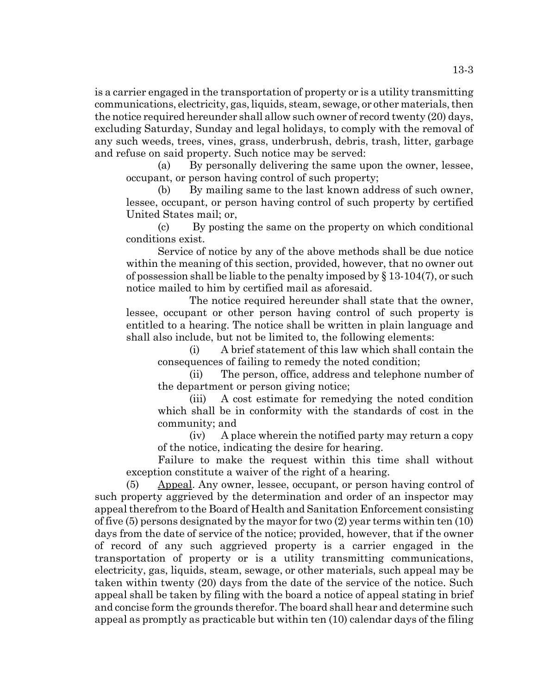is a carrier engaged in the transportation of property or is a utility transmitting communications, electricity, gas, liquids, steam, sewage, or other materials, then the notice required hereunder shall allow such owner of record twenty (20) days, excluding Saturday, Sunday and legal holidays, to comply with the removal of any such weeds, trees, vines, grass, underbrush, debris, trash, litter, garbage and refuse on said property. Such notice may be served:

(a) By personally delivering the same upon the owner, lessee, occupant, or person having control of such property;

(b) By mailing same to the last known address of such owner, lessee, occupant, or person having control of such property by certified United States mail; or,

(c) By posting the same on the property on which conditional conditions exist.

Service of notice by any of the above methods shall be due notice within the meaning of this section, provided, however, that no owner out of possession shall be liable to the penalty imposed by  $\S 13-104(7)$ , or such notice mailed to him by certified mail as aforesaid.

The notice required hereunder shall state that the owner, lessee, occupant or other person having control of such property is entitled to a hearing. The notice shall be written in plain language and shall also include, but not be limited to, the following elements:

(i) A brief statement of this law which shall contain the consequences of failing to remedy the noted condition;

(ii) The person, office, address and telephone number of the department or person giving notice;

(iii) A cost estimate for remedying the noted condition which shall be in conformity with the standards of cost in the community; and

(iv) A place wherein the notified party may return a copy of the notice, indicating the desire for hearing.

Failure to make the request within this time shall without exception constitute a waiver of the right of a hearing.

(5) Appeal. Any owner, lessee, occupant, or person having control of such property aggrieved by the determination and order of an inspector may appeal therefrom to the Board of Health and Sanitation Enforcement consisting of five (5) persons designated by the mayor for two (2) year terms within ten (10) days from the date of service of the notice; provided, however, that if the owner of record of any such aggrieved property is a carrier engaged in the transportation of property or is a utility transmitting communications, electricity, gas, liquids, steam, sewage, or other materials, such appeal may be taken within twenty (20) days from the date of the service of the notice. Such appeal shall be taken by filing with the board a notice of appeal stating in brief and concise form the grounds therefor. The board shall hear and determine such appeal as promptly as practicable but within ten (10) calendar days of the filing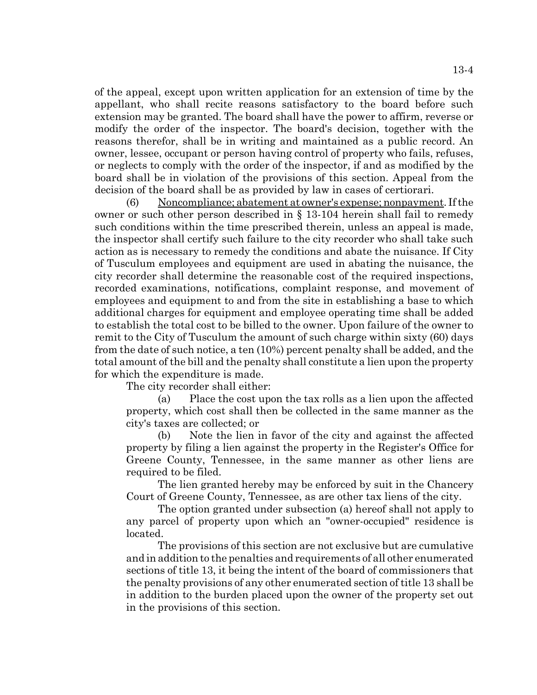of the appeal, except upon written application for an extension of time by the appellant, who shall recite reasons satisfactory to the board before such extension may be granted. The board shall have the power to affirm, reverse or modify the order of the inspector. The board's decision, together with the reasons therefor, shall be in writing and maintained as a public record. An owner, lessee, occupant or person having control of property who fails, refuses, or neglects to comply with the order of the inspector, if and as modified by the board shall be in violation of the provisions of this section. Appeal from the decision of the board shall be as provided by law in cases of certiorari.

(6) Noncompliance; abatement at owner's expense; nonpayment. If the owner or such other person described in § 13-104 herein shall fail to remedy such conditions within the time prescribed therein, unless an appeal is made, the inspector shall certify such failure to the city recorder who shall take such action as is necessary to remedy the conditions and abate the nuisance. If City of Tusculum employees and equipment are used in abating the nuisance, the city recorder shall determine the reasonable cost of the required inspections, recorded examinations, notifications, complaint response, and movement of employees and equipment to and from the site in establishing a base to which additional charges for equipment and employee operating time shall be added to establish the total cost to be billed to the owner. Upon failure of the owner to remit to the City of Tusculum the amount of such charge within sixty (60) days from the date of such notice, a ten (10%) percent penalty shall be added, and the total amount of the bill and the penalty shall constitute a lien upon the property for which the expenditure is made.

The city recorder shall either:

(a) Place the cost upon the tax rolls as a lien upon the affected property, which cost shall then be collected in the same manner as the city's taxes are collected; or

(b) Note the lien in favor of the city and against the affected property by filing a lien against the property in the Register's Office for Greene County, Tennessee, in the same manner as other liens are required to be filed.

The lien granted hereby may be enforced by suit in the Chancery Court of Greene County, Tennessee, as are other tax liens of the city.

The option granted under subsection (a) hereof shall not apply to any parcel of property upon which an "owner-occupied" residence is located.

The provisions of this section are not exclusive but are cumulative and in addition to the penalties and requirements of all other enumerated sections of title 13, it being the intent of the board of commissioners that the penalty provisions of any other enumerated section of title 13 shall be in addition to the burden placed upon the owner of the property set out in the provisions of this section.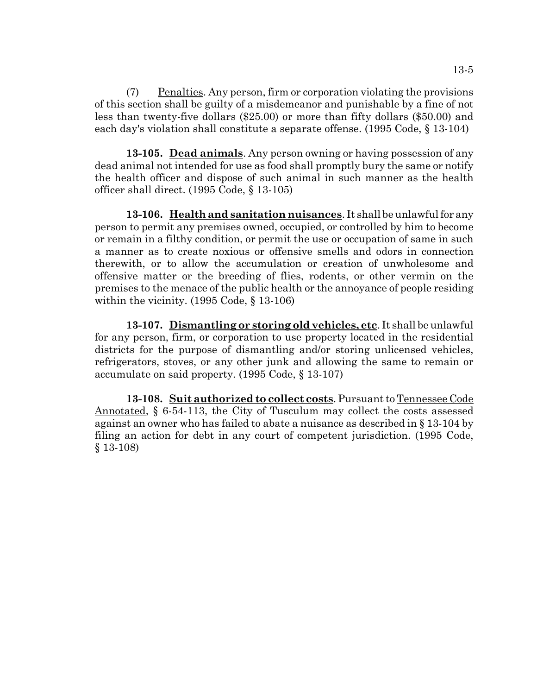(7) Penalties. Any person, firm or corporation violating the provisions of this section shall be guilty of a misdemeanor and punishable by a fine of not less than twenty-five dollars (\$25.00) or more than fifty dollars (\$50.00) and each day's violation shall constitute a separate offense. (1995 Code, § 13-104)

**13-105. Dead animals**. Any person owning or having possession of any dead animal not intended for use as food shall promptly bury the same or notify the health officer and dispose of such animal in such manner as the health officer shall direct. (1995 Code, § 13-105)

**13-106. Health and sanitation nuisances**. It shall be unlawful for any person to permit any premises owned, occupied, or controlled by him to become or remain in a filthy condition, or permit the use or occupation of same in such a manner as to create noxious or offensive smells and odors in connection therewith, or to allow the accumulation or creation of unwholesome and offensive matter or the breeding of flies, rodents, or other vermin on the premises to the menace of the public health or the annoyance of people residing within the vicinity. (1995 Code, § 13-106)

**13-107. Dismantling or storing old vehicles, etc**. It shall be unlawful for any person, firm, or corporation to use property located in the residential districts for the purpose of dismantling and/or storing unlicensed vehicles, refrigerators, stoves, or any other junk and allowing the same to remain or accumulate on said property. (1995 Code, § 13-107)

**13-108. Suit authorized to collect costs**. Pursuant to Tennessee Code Annotated, § 6-54-113, the City of Tusculum may collect the costs assessed against an owner who has failed to abate a nuisance as described in § 13-104 by filing an action for debt in any court of competent jurisdiction. (1995 Code, § 13-108)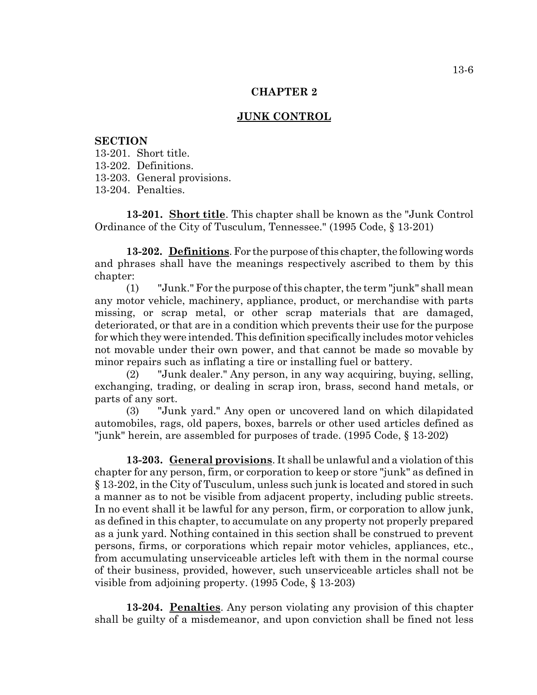### **CHAPTER 2**

# **JUNK CONTROL**

## **SECTION**

13-201. Short title.

13-202. Definitions.

13-203. General provisions.

13-204. Penalties.

**13-201. Short title**. This chapter shall be known as the "Junk Control Ordinance of the City of Tusculum, Tennessee." (1995 Code, § 13-201)

**13-202. Definitions**. For the purpose of this chapter, the following words and phrases shall have the meanings respectively ascribed to them by this chapter:

(1) "Junk." For the purpose of this chapter, the term "junk" shall mean any motor vehicle, machinery, appliance, product, or merchandise with parts missing, or scrap metal, or other scrap materials that are damaged, deteriorated, or that are in a condition which prevents their use for the purpose for which they were intended. This definition specifically includes motor vehicles not movable under their own power, and that cannot be made so movable by minor repairs such as inflating a tire or installing fuel or battery.

(2) "Junk dealer." Any person, in any way acquiring, buying, selling, exchanging, trading, or dealing in scrap iron, brass, second hand metals, or parts of any sort.

(3) "Junk yard." Any open or uncovered land on which dilapidated automobiles, rags, old papers, boxes, barrels or other used articles defined as "junk" herein, are assembled for purposes of trade. (1995 Code, § 13-202)

**13-203. General provisions**. It shall be unlawful and a violation of this chapter for any person, firm, or corporation to keep or store "junk" as defined in § 13-202, in the City of Tusculum, unless such junk is located and stored in such a manner as to not be visible from adjacent property, including public streets. In no event shall it be lawful for any person, firm, or corporation to allow junk, as defined in this chapter, to accumulate on any property not properly prepared as a junk yard. Nothing contained in this section shall be construed to prevent persons, firms, or corporations which repair motor vehicles, appliances, etc., from accumulating unserviceable articles left with them in the normal course of their business, provided, however, such unserviceable articles shall not be visible from adjoining property. (1995 Code, § 13-203)

**13-204. Penalties**. Any person violating any provision of this chapter shall be guilty of a misdemeanor, and upon conviction shall be fined not less